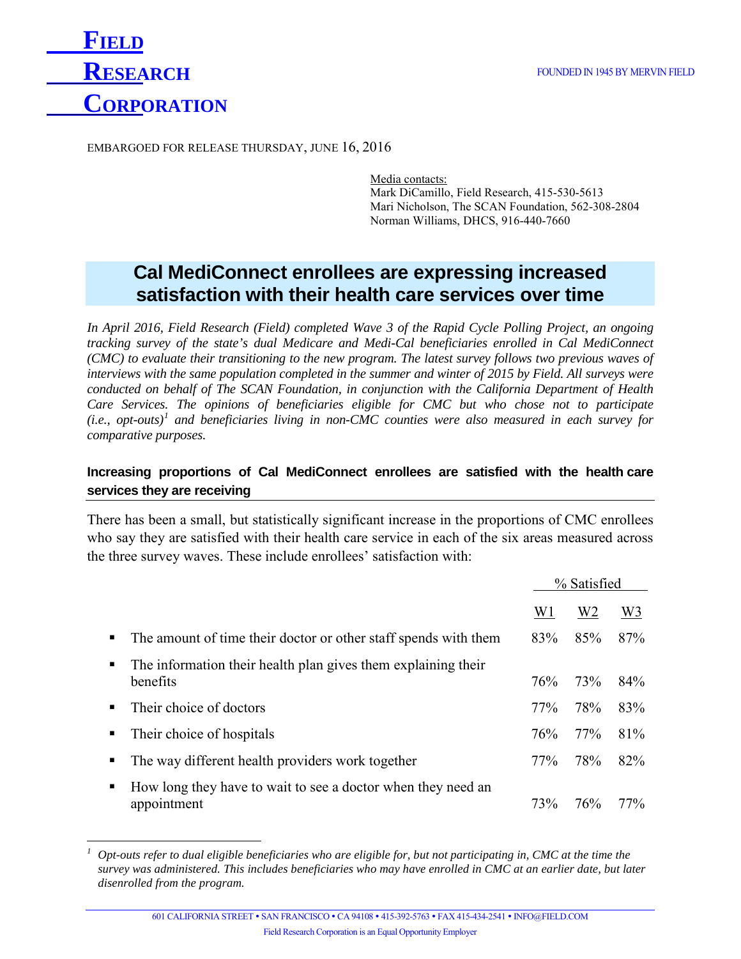

EMBARGOED FOR RELEASE THURSDAY, JUNE 16, 2016

Media contacts: Mark DiCamillo, Field Research, 415-530-5613 Mari Nicholson, The SCAN Foundation, 562-308-2804 Norman Williams, DHCS, 916-440-7660

# **Cal MediConnect enrollees are expressing increased satisfaction with their health care services over time**

*In April 2016, Field Research (Field) completed Wave 3 of the Rapid Cycle Polling Project, an ongoing tracking survey of the state's dual Medicare and Medi-Cal beneficiaries enrolled in Cal MediConnect (CMC) to evaluate their transitioning to the new program. The latest survey follows two previous waves of interviews with the same population completed in the summer and winter of 2015 by Field. All surveys were conducted on behalf of The SCAN Foundation, in conjunction with the California Department of Health Care Services. The opinions of beneficiaries eligible for CMC but who chose not to participate (i.e., opt-outs)[1](#page-0-0) and beneficiaries living in non-CMC counties were also measured in each survey for comparative purposes.*

## **Increasing proportions of Cal MediConnect enrollees are satisfied with the health care services they are receiving**

There has been a small, but statistically significant increase in the proportions of CMC enrollees who say they are satisfied with their health care service in each of the six areas measured across the three survey waves. These include enrollees' satisfaction with:

|    |                                                                             | % Satisfied    |                |                |
|----|-----------------------------------------------------------------------------|----------------|----------------|----------------|
|    |                                                                             | W <sub>1</sub> | W <sub>2</sub> | W <sub>3</sub> |
|    | The amount of time their doctor or other staff spends with them             | 83%            | 85%            | 87%            |
| п. | The information their health plan gives them explaining their<br>benefits   | 76%            | 73%            | 84%            |
|    | Their choice of doctors                                                     | 77%            | 78%            | 83%            |
| ٠  | Their choice of hospitals                                                   | 76%            | 77%            | 81%            |
|    | The way different health providers work together                            | 77%            | 78%            | 82%            |
| ٠  | How long they have to wait to see a doctor when they need an<br>appointment | 73%            | 76%            | 77%            |

<span id="page-0-0"></span>*<sup>1</sup> Opt-outs refer to dual eligible beneficiaries who are eligible for, but not participating in, CMC at the time the survey was administered. This includes beneficiaries who may have enrolled in CMC at an earlier date, but later disenrolled from the program.*  $\overline{a}$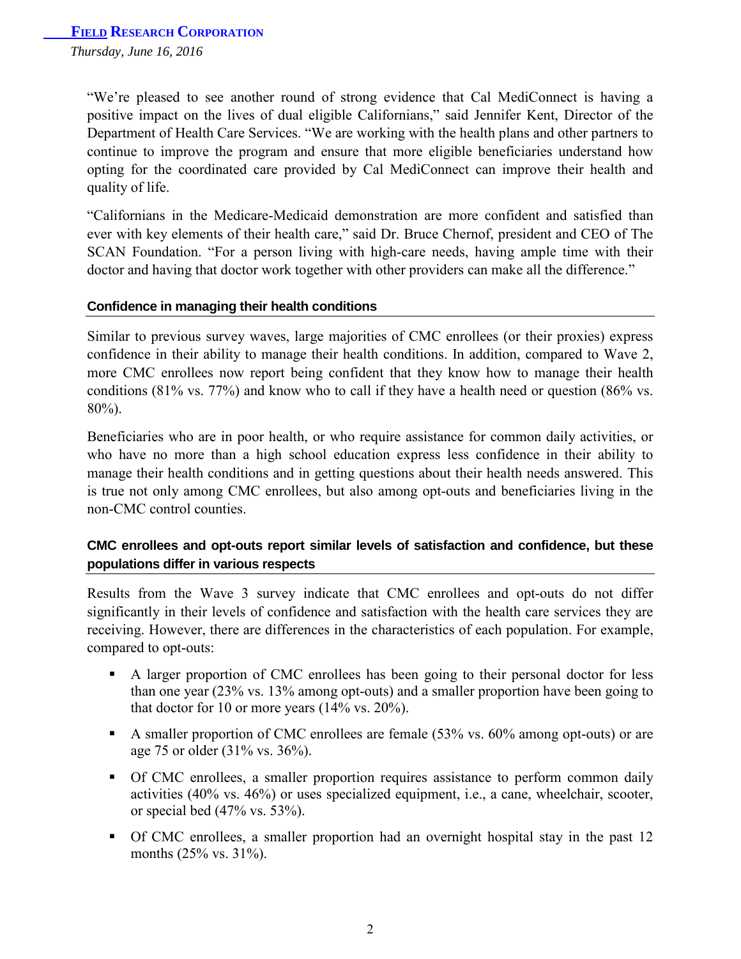*Thursday, June 16, 2016* 

"We're pleased to see another round of strong evidence that Cal MediConnect is having a positive impact on the lives of dual eligible Californians," said Jennifer Kent, Director of the Department of Health Care Services. "We are working with the health plans and other partners to continue to improve the program and ensure that more eligible beneficiaries understand how opting for the coordinated care provided by Cal MediConnect can improve their health and quality of life.

"Californians in the Medicare-Medicaid demonstration are more confident and satisfied than ever with key elements of their health care," said Dr. Bruce Chernof, president and CEO of The SCAN Foundation. "For a person living with high-care needs, having ample time with their doctor and having that doctor work together with other providers can make all the difference."

#### **Confidence in managing their health conditions**

Similar to previous survey waves, large majorities of CMC enrollees (or their proxies) express confidence in their ability to manage their health conditions. In addition, compared to Wave 2, more CMC enrollees now report being confident that they know how to manage their health conditions (81% vs. 77%) and know who to call if they have a health need or question (86% vs. 80%).

Beneficiaries who are in poor health, or who require assistance for common daily activities, or who have no more than a high school education express less confidence in their ability to manage their health conditions and in getting questions about their health needs answered. This is true not only among CMC enrollees, but also among opt-outs and beneficiaries living in the non-CMC control counties.

## **CMC enrollees and opt-outs report similar levels of satisfaction and confidence, but these populations differ in various respects**

Results from the Wave 3 survey indicate that CMC enrollees and opt-outs do not differ significantly in their levels of confidence and satisfaction with the health care services they are receiving. However, there are differences in the characteristics of each population. For example, compared to opt-outs:

- A larger proportion of CMC enrollees has been going to their personal doctor for less than one year (23% vs. 13% among opt-outs) and a smaller proportion have been going to that doctor for 10 or more years  $(14\% \text{ vs. } 20\%).$
- A smaller proportion of CMC enrollees are female (53% vs. 60% among opt-outs) or are age 75 or older (31% vs. 36%).
- Of CMC enrollees, a smaller proportion requires assistance to perform common daily activities (40% vs. 46%) or uses specialized equipment, i.e., a cane, wheelchair, scooter, or special bed (47% vs. 53%).
- Of CMC enrollees, a smaller proportion had an overnight hospital stay in the past 12 months (25% vs. 31%).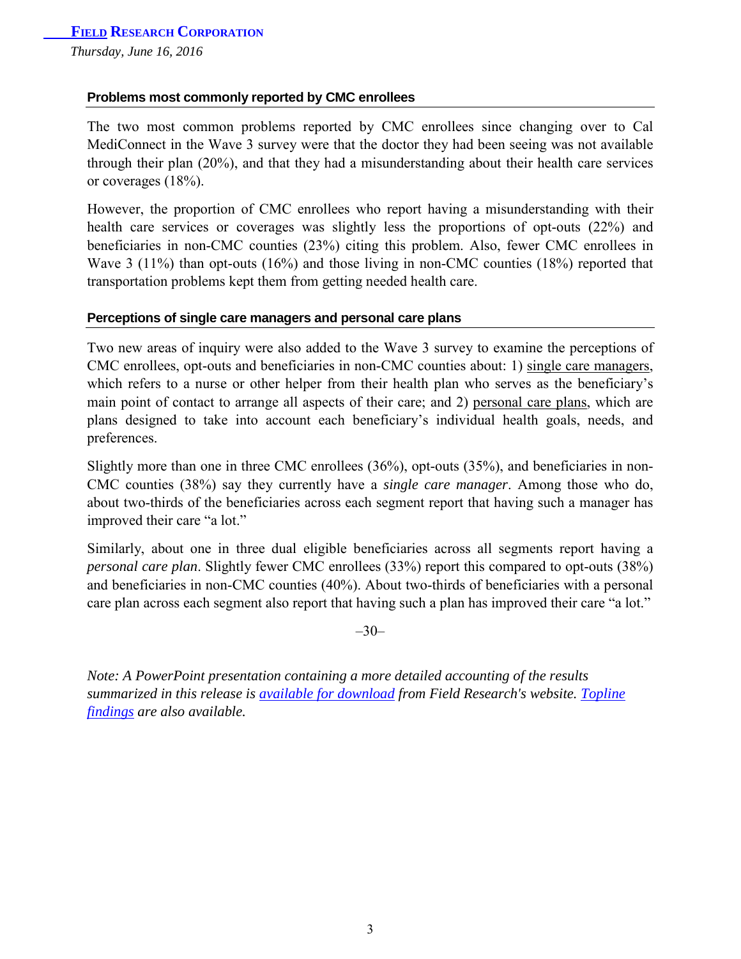## **Problems most commonly reported by CMC enrollees**

The two most common problems reported by CMC enrollees since changing over to Cal MediConnect in the Wave 3 survey were that the doctor they had been seeing was not available through their plan (20%), and that they had a misunderstanding about their health care services or coverages (18%).

However, the proportion of CMC enrollees who report having a misunderstanding with their health care services or coverages was slightly less the proportions of opt-outs (22%) and beneficiaries in non-CMC counties (23%) citing this problem. Also, fewer CMC enrollees in Wave 3 (11%) than opt-outs (16%) and those living in non-CMC counties (18%) reported that transportation problems kept them from getting needed health care.

#### **Perceptions of single care managers and personal care plans**

Two new areas of inquiry were also added to the Wave 3 survey to examine the perceptions of CMC enrollees, opt-outs and beneficiaries in non-CMC counties about: 1) single care managers, which refers to a nurse or other helper from their health plan who serves as the beneficiary's main point of contact to arrange all aspects of their care; and 2) personal care plans, which are plans designed to take into account each beneficiary's individual health goals, needs, and preferences.

Slightly more than one in three CMC enrollees (36%), opt-outs (35%), and beneficiaries in non-CMC counties (38%) say they currently have a *single care manager*. Among those who do, about two-thirds of the beneficiaries across each segment report that having such a manager has improved their care "a lot."

Similarly, about one in three dual eligible beneficiaries across all segments report having a *personal care plan*. Slightly fewer CMC enrollees (33%) report this compared to opt-outs (38%) and beneficiaries in non-CMC counties (40%). About two-thirds of beneficiaries with a personal care plan across each segment also report that having such a plan has improved their care "a lot."

 $-30-$ 

*Note: A PowerPoint presentation containing a more detailed accounting of the results summarized in this release is [available for download](http://www.thescanfoundation.org/sites/default/files/wave_3_powerpoint_summary_report_june_2016.pdf) from Field Research's website. [Topline](http://www.thescanfoundation.org/sites/default/files/topline_findings.pdf)  [findings](http://www.field.com/public/Wave_3_Topline_Findings.pdf) are also available.*